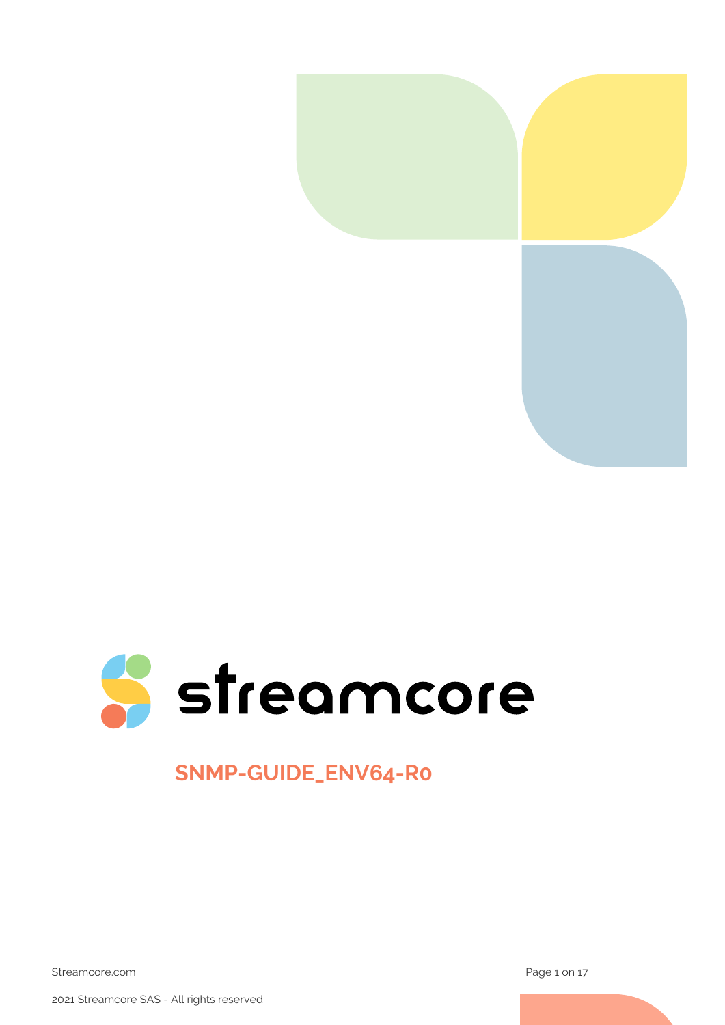



# **SNMP-GUIDE\_ENV64-R0**

Streamcore.com **Page 1 on 17** 

2021 Streamcore SAS - All rights reserved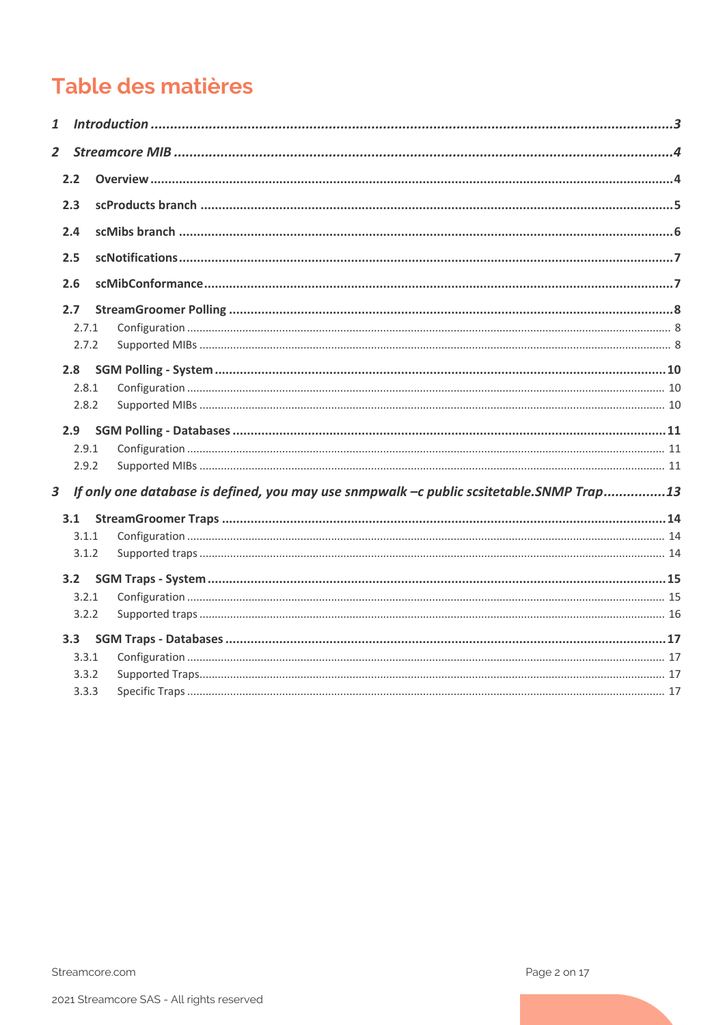# Table des matières

| $\mathbf{1}$   |       |                                                                                          |  |
|----------------|-------|------------------------------------------------------------------------------------------|--|
| $\overline{2}$ |       |                                                                                          |  |
|                | 2.2   |                                                                                          |  |
|                | 2.3   |                                                                                          |  |
|                | 2.4   |                                                                                          |  |
|                | 2.5   |                                                                                          |  |
|                | 2.6   |                                                                                          |  |
|                | 2.7   |                                                                                          |  |
|                | 2.7.1 |                                                                                          |  |
|                | 2.7.2 |                                                                                          |  |
|                | 2.8   |                                                                                          |  |
|                | 2.8.1 |                                                                                          |  |
|                | 2.8.2 |                                                                                          |  |
|                | 2.9   |                                                                                          |  |
|                | 2.9.1 |                                                                                          |  |
|                | 2.9.2 |                                                                                          |  |
| 3              |       | If only one database is defined, you may use snmpwalk -c public scsitetable. SNMP Trap13 |  |
|                | 3.1   |                                                                                          |  |
|                | 3.1.1 |                                                                                          |  |
|                | 3.1.2 |                                                                                          |  |
|                | 3.2   |                                                                                          |  |
|                | 3.2.1 |                                                                                          |  |
|                |       |                                                                                          |  |
|                | 3.2.2 |                                                                                          |  |
|                | 3.3   |                                                                                          |  |
|                | 3.3.1 |                                                                                          |  |
|                | 3.3.2 |                                                                                          |  |
|                | 3.3.3 |                                                                                          |  |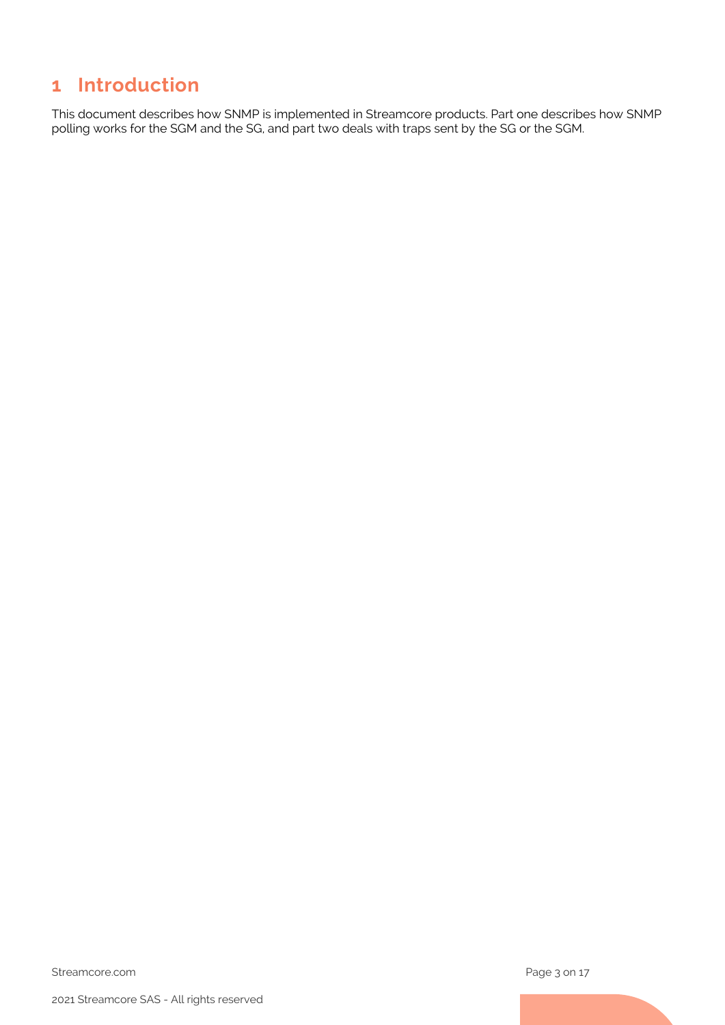# <span id="page-2-0"></span>**1 Introduction**

This document describes how SNMP is implemented in Streamcore products. Part one describes how SNMP polling works for the SGM and the SG, and part two deals with traps sent by the SG or the SGM.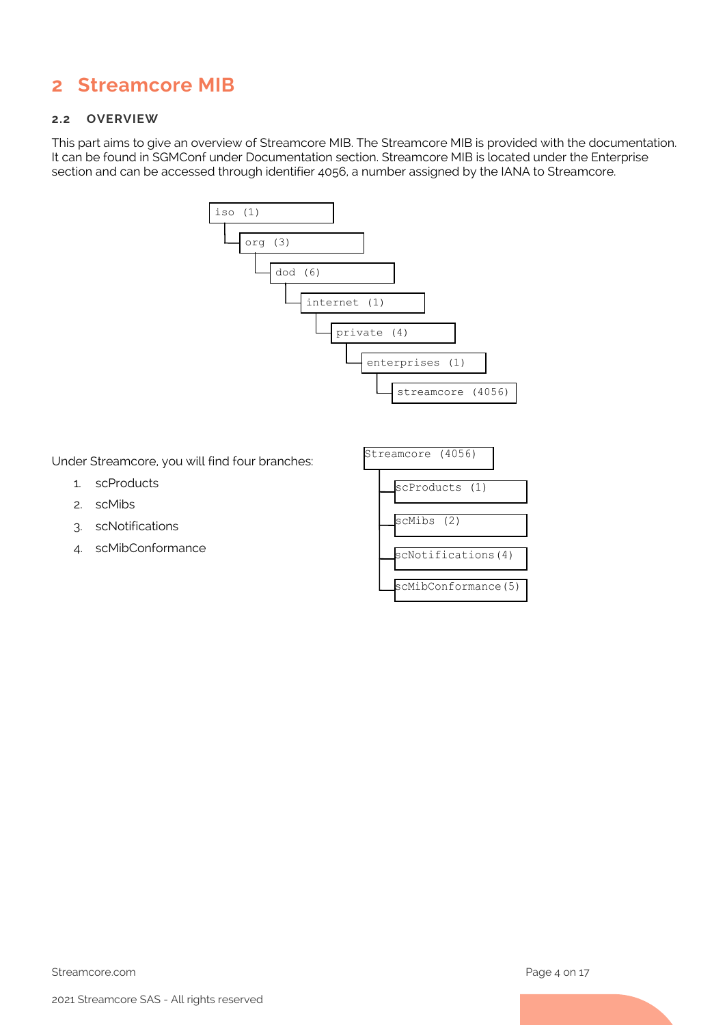# <span id="page-3-0"></span>**2 Streamcore MIB**

#### <span id="page-3-1"></span>**2.2 OVERVIEW**

This part aims to give an overview of Streamcore MIB. The Streamcore MIB is provided with the documentation. It can be found in SGMConf under Documentation section. Streamcore MIB is located under the Enterprise section and can be accessed through identifier 4056, a number assigned by the IANA to Streamcore.



Under Streamcore, you will find four branches:

- 1. scProducts
- 2. scMibs
- 3. scNotifications
- 4. scMibConformance

| Streamcore (4056)   |  |  |  |
|---------------------|--|--|--|
| scProducts (1)      |  |  |  |
| scMibs (2)          |  |  |  |
| scNotifications(4)  |  |  |  |
| scMibConformance(5) |  |  |  |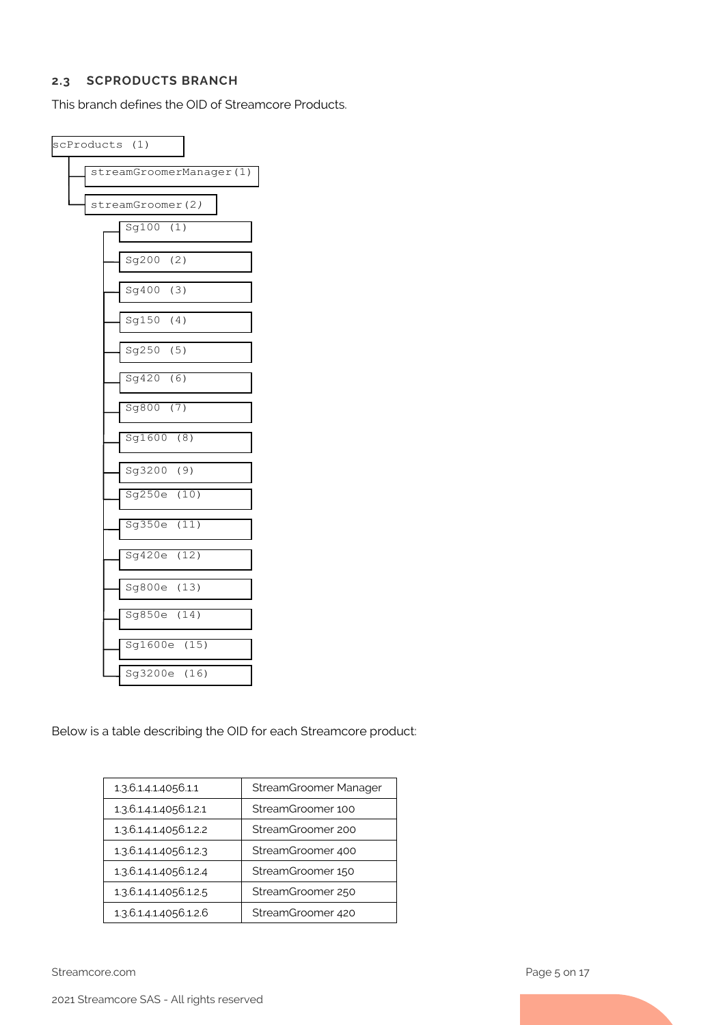#### <span id="page-4-0"></span>**2.3 SCPRODUCTS BRANCH**

This branch defines the OID of Streamcore Products.

| scProducts (1)          |  |  |  |  |  |
|-------------------------|--|--|--|--|--|
| streamGroomerManager(1) |  |  |  |  |  |
| streamGroomer(2)        |  |  |  |  |  |
| Sg100(1)                |  |  |  |  |  |
| Sg200 (2)               |  |  |  |  |  |
| Sg400 (3)               |  |  |  |  |  |
| Sg150<br>(4)            |  |  |  |  |  |
| Sg250<br>(5)            |  |  |  |  |  |
| Sg420<br>(6)            |  |  |  |  |  |
| Sg800 (7)               |  |  |  |  |  |
| Sg1600 (8)              |  |  |  |  |  |
| Sg3200 (9)              |  |  |  |  |  |
| Sg250e (10)             |  |  |  |  |  |
| Sg350e (11)             |  |  |  |  |  |
| Sg420e (12)             |  |  |  |  |  |
| Sg800e (13)             |  |  |  |  |  |
| Sg850e (14)             |  |  |  |  |  |
| Sg1600e (15)            |  |  |  |  |  |
| Sg3200e (16)            |  |  |  |  |  |

Below is a table describing the OID for each Streamcore product:

| 1.3.6.1.4.1.4056.1.1   | StreamGroomer Manager |
|------------------------|-----------------------|
| 1.3.6.1.4.1.4056.1.2.1 | StreamGroomer 100     |
| 1.3.6.1.4.1.4056.1.2.2 | StreamGroomer 200     |
| 1.3.6.1.4.1.4056.1.2.3 | StreamGroomer 400     |
| 1.3.6.1.4.1.4056.1.2.4 | StreamGroomer 150     |
| 1.3.6.1.4.1.4056.1.2.5 | StreamGroomer 250     |
| 1.3.6.1.4.1.4056.1.2.6 | StreamGroomer 420     |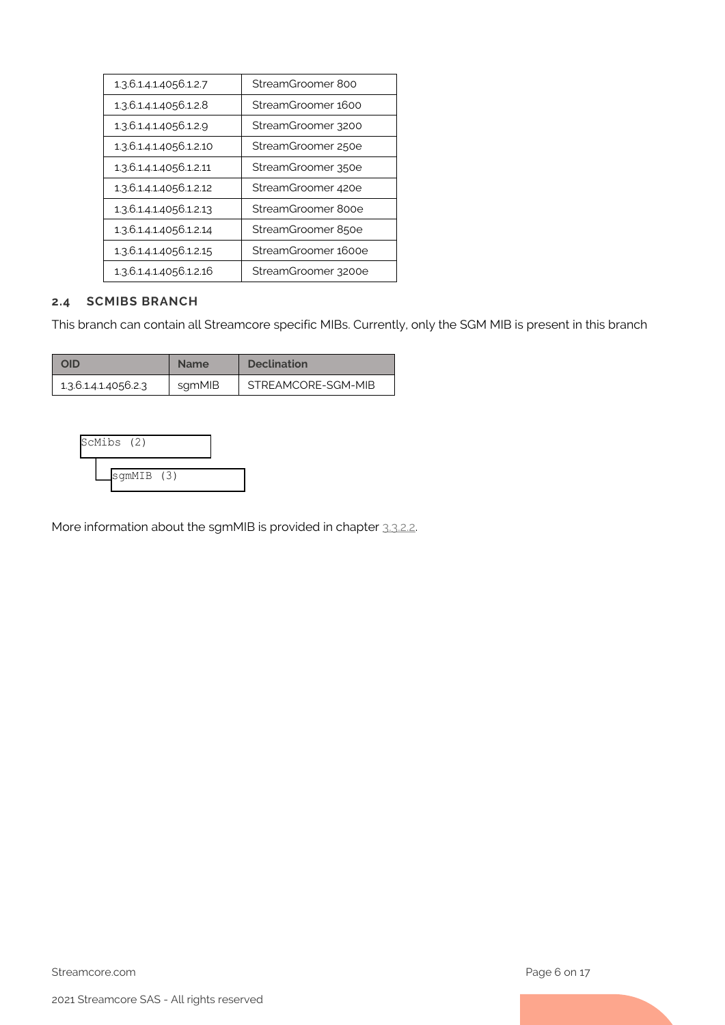| 1.3.6.1.4.1.4056.1.2.7  | StreamGroomer 800   |
|-------------------------|---------------------|
| 1.3.6.1.4.1.4056.1.2.8  | StreamGroomer 1600  |
| 1.3.6.1.4.1.4056.1.2.9  | StreamGroomer 3200  |
| 1.3.6.1.4.1.4056.1.2.10 | StreamGroomer 250e  |
| 1.3.6.1.4.1.4056.1.2.11 | StreamGroomer 350e  |
| 1.3.6.1.4.1.4056.1.2.12 | StreamGroomer 420e  |
| 1.3.6.1.4.1.4056.1.2.13 | StreamGroomer 800e  |
| 1.3.6.1.4.1.4056.1.2.14 | StreamGroomer 850e  |
| 1.3.6.1.4.1.4056.1.2.15 | StreamGroomer 1600e |
| 1.3.6.1.4.1.4056.1.2.16 | StreamGroomer 3200e |

#### <span id="page-5-0"></span>**2.4 SCMIBS BRANCH**

This branch can contain all Streamcore specific MIBs. Currently, only the SGM MIB is present in this branch

| סוכ                  | <b>Name</b> | <b>Declination</b> |
|----------------------|-------------|--------------------|
| 1.3.6.1.4.1.4056.2.3 | sqmMIB      | STREAMCORE-SGM-MIB |



More information about the sgmMIB is provided in chapter [3.3.2.2.](#page-10-3)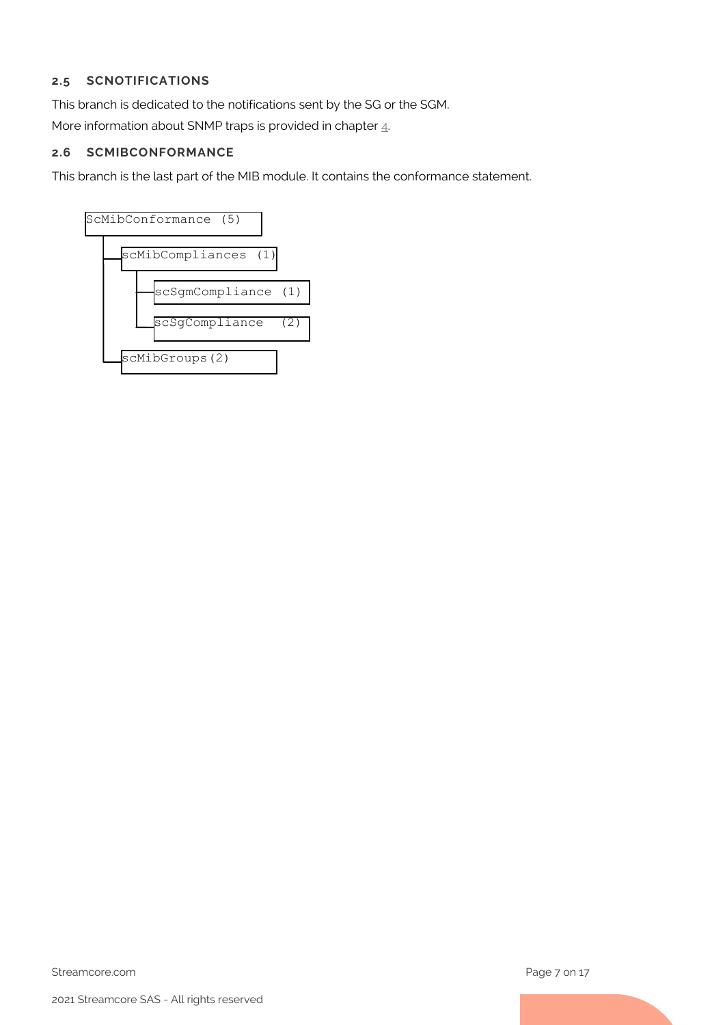# <span id="page-6-0"></span>**2.5 SCNOTIFICATIONS**

This branch is dedicated to the notifications sent by the SG or the SGM.

More information about SNMP traps is provided in chapter  $\underline{4}$ .

### <span id="page-6-1"></span>**2.6 SCMIBCONFORMANCE**

This branch is the last part of the MIB module. It contains the conformance statement.

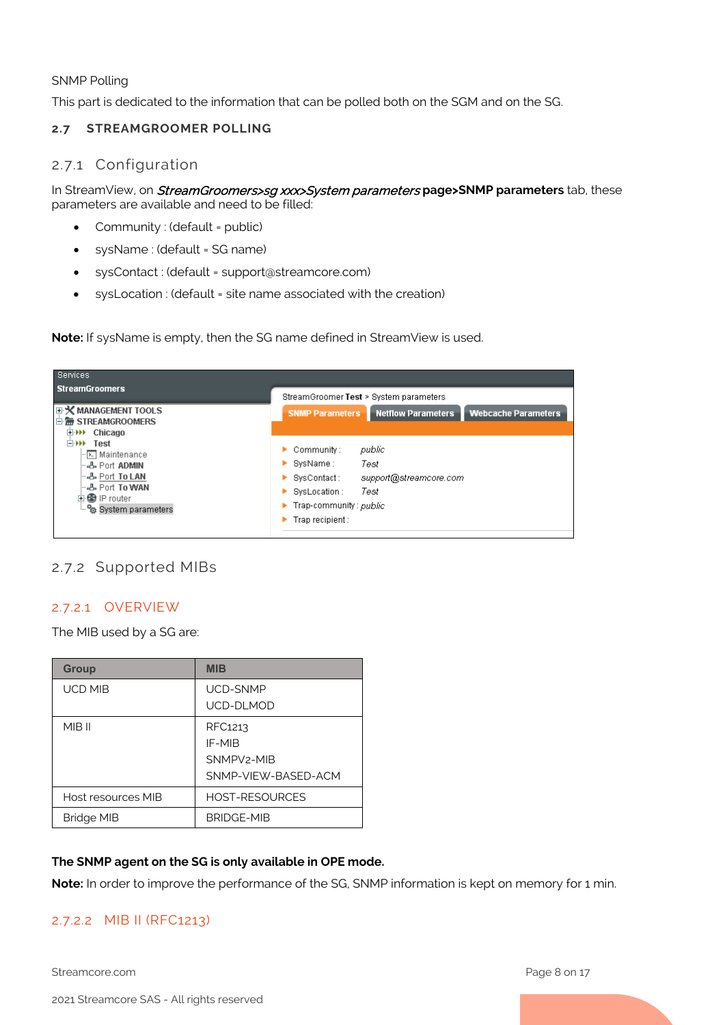SNMP Polling

This part is dedicated to the information that can be polled both on the SGM and on the SG.

#### <span id="page-7-1"></span><span id="page-7-0"></span>**2.7 STREAMGROOMER POLLING**

#### 2.7.1 Configuration

In StreamView, on StreamGroomers>sg xxx>System parameters **page>SNMP parameters** tab, these parameters are available and need to be filled:

- Community : (default = public)
- sysName : (default = SG name)
- sysContact : (default = support@streamcore.com)
- sysLocation : (default = site name associated with the creation)

**Note:** If sysName is empty, then the SG name defined in StreamView is used.

| Services                                                                                                                                                |                                                                                                                                                                       |  |  |
|---------------------------------------------------------------------------------------------------------------------------------------------------------|-----------------------------------------------------------------------------------------------------------------------------------------------------------------------|--|--|
| <b>StreamGroomers</b>                                                                                                                                   | StreamGroomer Test > System parameters                                                                                                                                |  |  |
| 日 <b>义 MANAGEMENT TOOLS</b><br>□ H <sub>m</sub> STREAMGROOMERS                                                                                          | <b>SNMP Parameters</b><br><b>Netflow Parameters</b><br><b>Webcache Parameters</b>                                                                                     |  |  |
| 田W Chicago<br>□ <b>▶▶</b> Test<br>- प्रा Maintenance<br>- A Port ADMIN<br>- & Port To LAN<br>⊶& Port <b>To WAN</b><br>由魯 IP router<br>System parameters | public<br>Community:<br>SysName :<br>Test<br>support@streamcore.com<br>  SysContact :<br>Test<br>SysLocation :<br>▶<br>Trap-community: public<br>▶<br>Trap recipient: |  |  |

# <span id="page-7-2"></span>2.7.2 Supported MIBs

# 2.7.2.1 OVERVIEW

The MIB used by a SG are:

| <b>Group</b>       | <b>MIB</b>                                                          |
|--------------------|---------------------------------------------------------------------|
| <b>UCD MIB</b>     | UCD-SNMP<br>UCD-DLMOD                                               |
| MIB II             | RFC1213<br>IF-MIR<br>SNMPV <sub>2</sub> -MIR<br>SNMP-VIFW-BASED-ACM |
| Host resources MIB | <b>HOST-RESOURCES</b>                                               |
| <b>Bridge MIB</b>  | <b>BRIDGE-MIB</b>                                                   |

#### **The SNMP agent on the SG is only available in OPE mode.**

**Note:** In order to improve the performance of the SG, SNMP information is kept on memory for 1 min.

# 2.7.2.2 MIB II (RFC1213)

Streamcore.com **Page 8 on 17**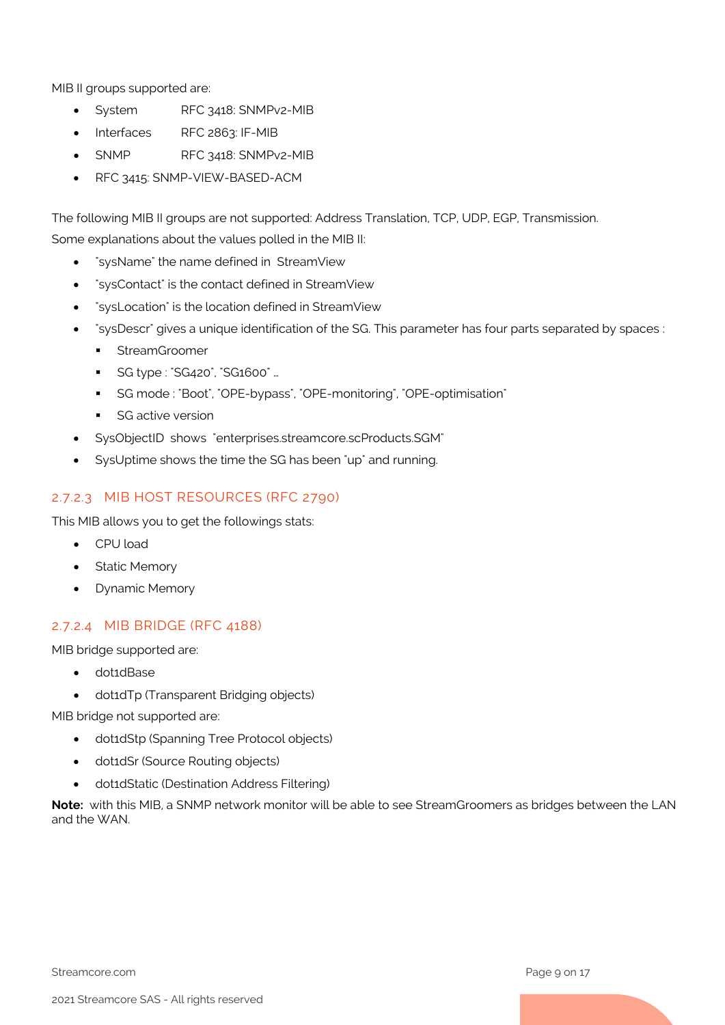MIB II groups supported are:

- System RFC 3418: SNMPv2-MIB
- Interfaces RFC 2863: IF-MIB
- SNMP RFC 3418: SNMPv2-MIB
- RFC 3415: SNMP-VIEW-BASED-ACM

The following MIB II groups are not supported: Address Translation, TCP, UDP, EGP, Transmission. Some explanations about the values polled in the MIB II:

- "sysName" the name defined in StreamView
- "sysContact" is the contact defined in StreamView
- "sysLocation" is the location defined in StreamView
- "sysDescr" gives a unique identification of the SG. This parameter has four parts separated by spaces :
	- **StreamGroomer**
	- SG type : "SG420", "SG1600" …
	- SG mode : "Boot", "OPE-bypass", "OPE-monitoring", "OPE-optimisation"
	- **SG active version**
- SysObjectID shows "enterprises.streamcore.scProducts.SGM"
- SysUptime shows the time the SG has been "up" and running.

# 2.7.2.3 MIB HOST RESOURCES (RFC 2790)

This MIB allows you to get the followings stats:

- CPU load
- Static Memory
- Dynamic Memory

# 2.7.2.4 MIB BRIDGE (RFC 4188)

MIB bridge supported are:

- dot1dBase
- dot1dTp (Transparent Bridging objects)

MIB bridge not supported are:

- dot1dStp (Spanning Tree Protocol objects)
- dot1dSr (Source Routing objects)
- dot1dStatic (Destination Address Filtering)

**Note:** with this MIB, a SNMP network monitor will be able to see StreamGroomers as bridges between the LAN and the WAN.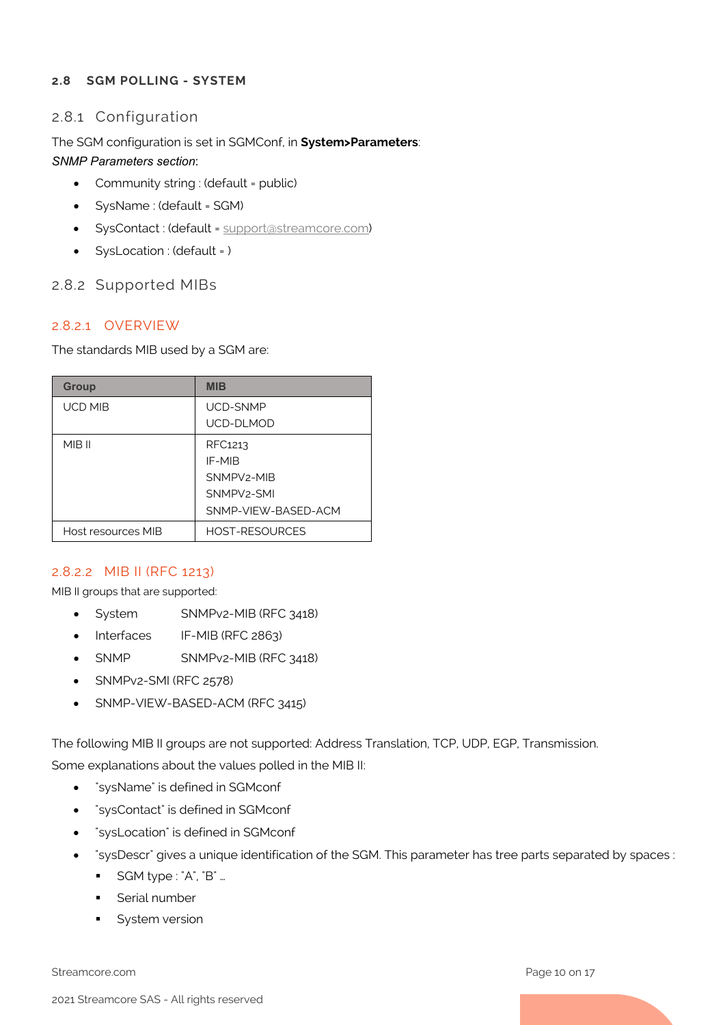### <span id="page-9-1"></span><span id="page-9-0"></span>**2.8 SGM POLLING - SYSTEM**

# 2.8.1 Configuration

# The SGM configuration is set in SGMConf, in **System>Parameters**:

### *SNMP Parameters section*:

- Community string : (default = public)
- SysName : (default = SGM)
- SysContact : (default = [support@streamcore.com\)](mailto:support@streamcore.com)
- SysLocation : (default = )

# <span id="page-9-2"></span>2.8.2 Supported MIBs

# 2.8.2.1 OVERVIEW

The standards MIB used by a SGM are:

| <b>Group</b>       | MIB                     |
|--------------------|-------------------------|
| <b>UCD MIB</b>     | <b>UCD-SNMP</b>         |
|                    | UCD-DLMOD               |
| MIB II             | RFC1213                 |
|                    | IF-MIR                  |
|                    | SNMPV <sub>2</sub> -MIR |
|                    | SNMPV <sub>2</sub> -SMI |
|                    | SNMP-VIFW-BASED-ACM     |
| Host resources MIB | <b>HOST-RESOURCES</b>   |

# 2.8.2.2 MIB II (RFC 1213)

MIB II groups that are supported:

- System SNMPv2-MIB (RFC 3418)
- Interfaces IF-MIB (RFC 2863)
- SNMP SNMPv2-MIB (RFC 3418)
- SNMPv2-SMI (RFC 2578)
- SNMP-VIEW-BASED-ACM (RFC 3415)

The following MIB II groups are not supported: Address Translation, TCP, UDP, EGP, Transmission. Some explanations about the values polled in the MIB II:

- "sysName" is defined in SGMconf
- "sysContact" is defined in SGMconf
- "sysLocation" is defined in SGMconf
- "sysDescr" gives a unique identification of the SGM. This parameter has tree parts separated by spaces :
	- SGM type : "A", "B" ...
	- **Serial number**
	- System version

Streamcore.com **Page 10 on 17**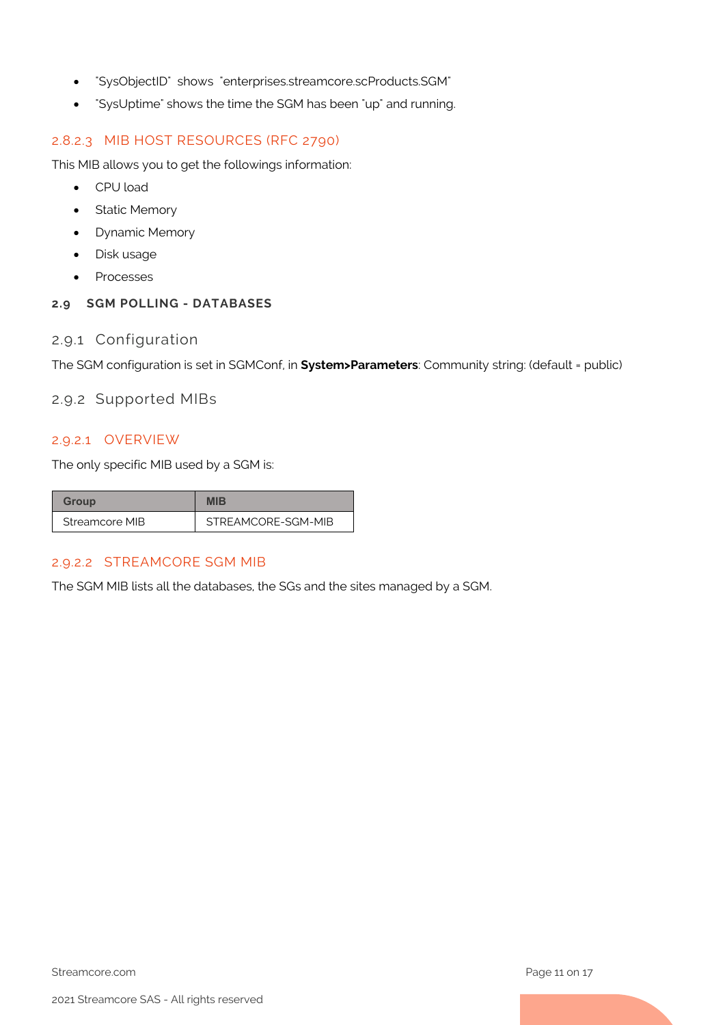- "SysObjectID" shows "enterprises.streamcore.scProducts.SGM"
- "SysUptime" shows the time the SGM has been "up" and running.

#### 2.8.2.3 MIB HOST RESOURCES (RFC 2790)

This MIB allows you to get the followings information:

- CPU load
- Static Memory
- Dynamic Memory
- Disk usage
- Processes

# <span id="page-10-1"></span><span id="page-10-0"></span>**2.9 SGM POLLING - DATABASES**

## 2.9.1 Configuration

<span id="page-10-2"></span>The SGM configuration is set in SGMConf, in **System>Parameters**: Community string: (default = public)

## 2.9.2 Supported MIBs

# 2.9.2.1 OVERVIEW

The only specific MIB used by a SGM is:

| Group          | MIR                |
|----------------|--------------------|
| Streamcore MIB | STREAMCORE-SGM-MIB |

# <span id="page-10-3"></span>2.9.2.2 STREAMCORE SGM MIB

The SGM MIB lists all the databases, the SGs and the sites managed by a SGM.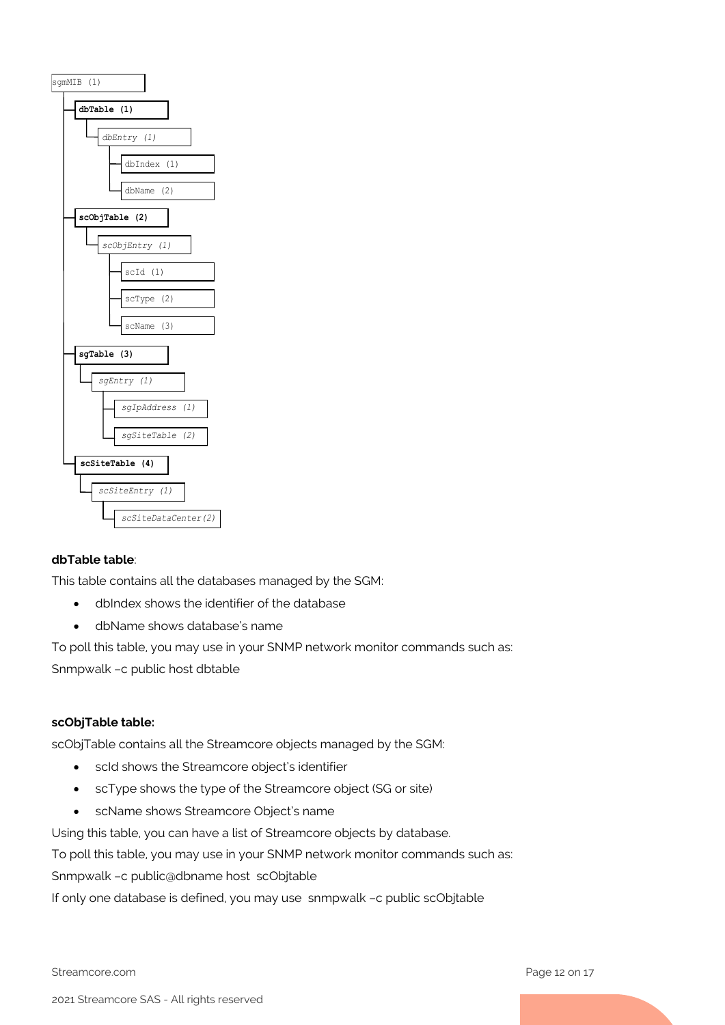

#### **dbTable table**:

This table contains all the databases managed by the SGM:

- dbIndex shows the identifier of the database
- dbName shows database's name

To poll this table, you may use in your SNMP network monitor commands such as: Snmpwalk –c public host dbtable

#### **scObjTable table:**

scObjTable contains all the Streamcore objects managed by the SGM:

- scId shows the Streamcore object's identifier
- scType shows the type of the Streamcore object (SG or site)
- scName shows Streamcore Object's name

Using this table, you can have a list of Streamcore objects by database.

To poll this table, you may use in your SNMP network monitor commands such as:

Snmpwalk –c public@dbname host scObjtable

If only one database is defined, you may use snmpwalk –c public scObjtable

Streamcore.com **Page 12 on 17**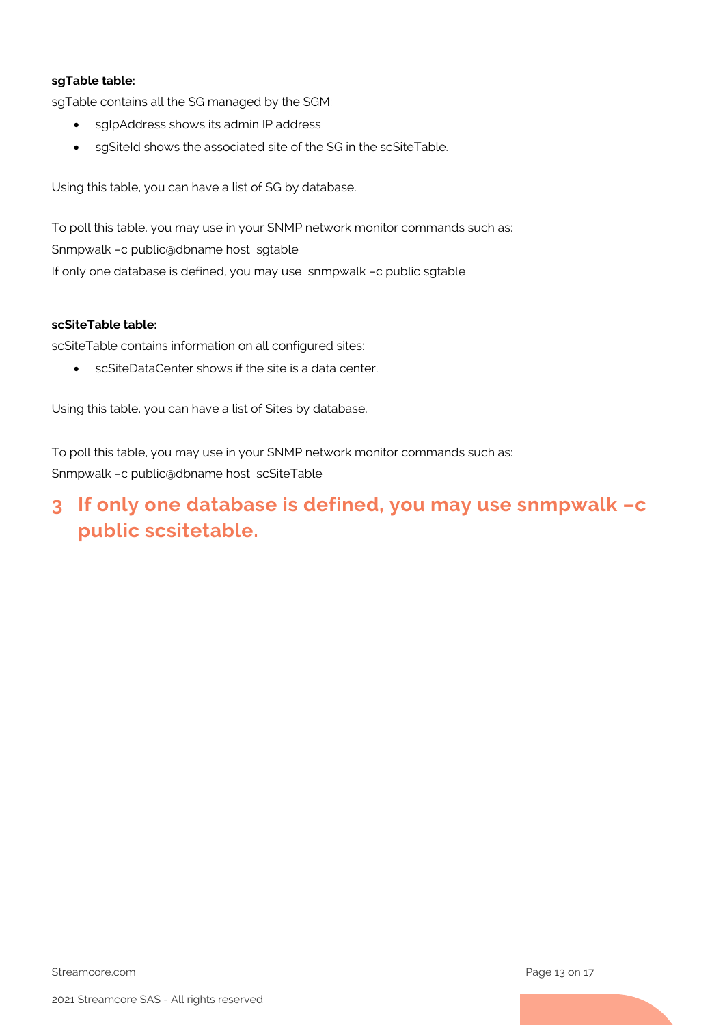#### **sgTable table:**

sgTable contains all the SG managed by the SGM:

- sgIpAddress shows its admin IP address
- sgSiteId shows the associated site of the SG in the scSiteTable.

Using this table, you can have a list of SG by database.

To poll this table, you may use in your SNMP network monitor commands such as: Snmpwalk –c public@dbname host sgtable If only one database is defined, you may use snmpwalk –c public sgtable

#### **scSiteTable table:**

scSiteTable contains information on all configured sites:

• scSiteDataCenter shows if the site is a data center.

Using this table, you can have a list of Sites by database.

To poll this table, you may use in your SNMP network monitor commands such as: Snmpwalk –c public@dbname host scSiteTable

# <span id="page-12-0"></span>**3 If only one database is defined, you may use snmpwalk –c public scsitetable.**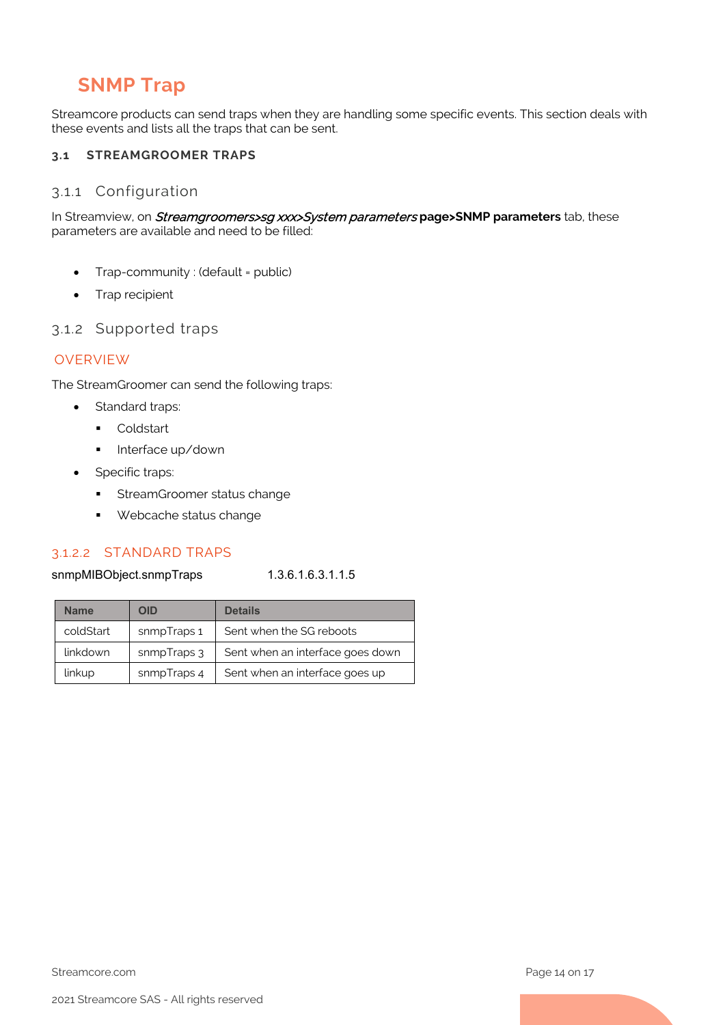# <span id="page-13-3"></span>**SNMP Trap**

Streamcore products can send traps when they are handling some specific events. This section deals with these events and lists all the traps that can be sent.

## <span id="page-13-1"></span><span id="page-13-0"></span>**3.1 STREAMGROOMER TRAPS**

#### 3.1.1 Configuration

In Streamview, on Streamgroomers>sg xxx>System parameters **page>SNMP parameters** tab, these parameters are available and need to be filled:

- Trap-community : (default = public)
- Trap recipient

#### <span id="page-13-2"></span>3.1.2 Supported traps

## OVERVIEW

The StreamGroomer can send the following traps:

- Standard traps:
	- **Coldstart**
	- **Interface up/down**
- Specific traps:
	- **StreamGroomer status change**
	- **Webcache status change**

#### 3.1.2.2 STANDARD TRAPS

#### snmpMIBObject.snmpTraps 1.3.6.1.6.3.1.1.5

| <b>Name</b> | OID         | <b>Details</b>                   |
|-------------|-------------|----------------------------------|
| coldStart   | snmpTraps 1 | Sent when the SG reboots         |
| linkdown    | snmpTraps 3 | Sent when an interface goes down |
| linkup      | snmpTraps 4 | Sent when an interface goes up   |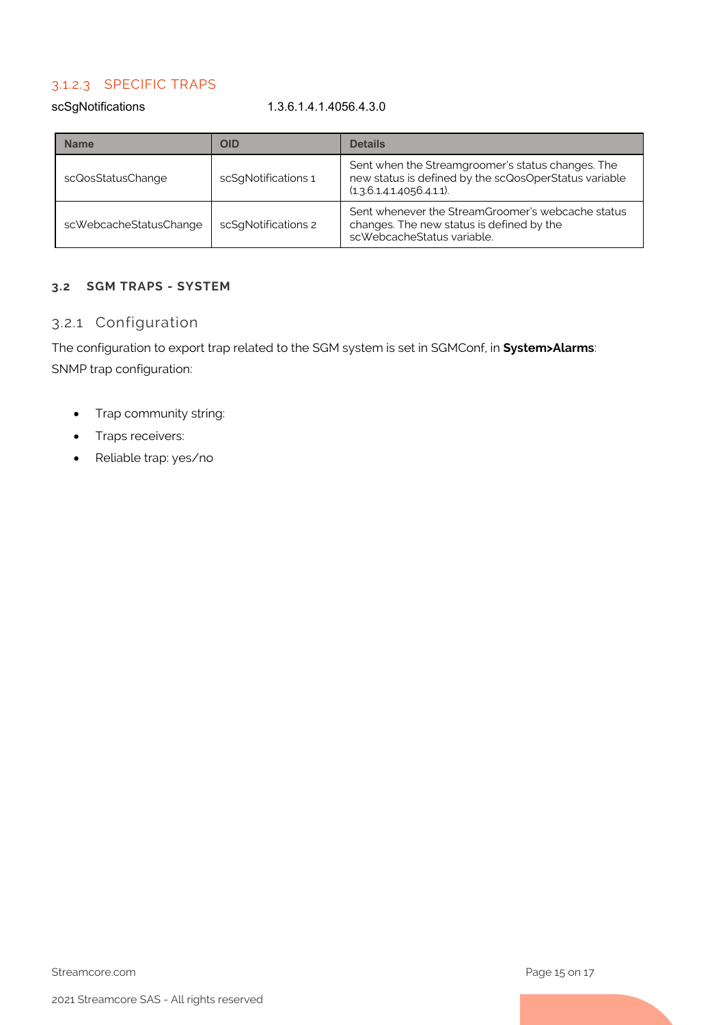# 3.1.2.3 SPECIFIC TRAPS

scSgNotifications 1.3.6.1.4.1.4056.4.3.0

| <b>Name</b>            | OID                 | <b>Details</b>                                                                                                                          |
|------------------------|---------------------|-----------------------------------------------------------------------------------------------------------------------------------------|
| scQosStatusChange      | scSgNotifications 1 | Sent when the Streamgroomer's status changes. The<br>new status is defined by the scQosOperStatus variable<br>(1.3.6.1.4.1.4056.4.1.1). |
| scWebcacheStatusChange | scSqNotifications 2 | Sent whenever the StreamGroomer's webcache status<br>changes. The new status is defined by the<br>scWebcacheStatus variable.            |

## <span id="page-14-1"></span><span id="page-14-0"></span>**3.2 SGM TRAPS - SYSTEM**

#### 3.2.1 Configuration

The configuration to export trap related to the SGM system is set in SGMConf, in **System>Alarms**: SNMP trap configuration:

- Trap community string:
- Traps receivers:
- Reliable trap: yes/no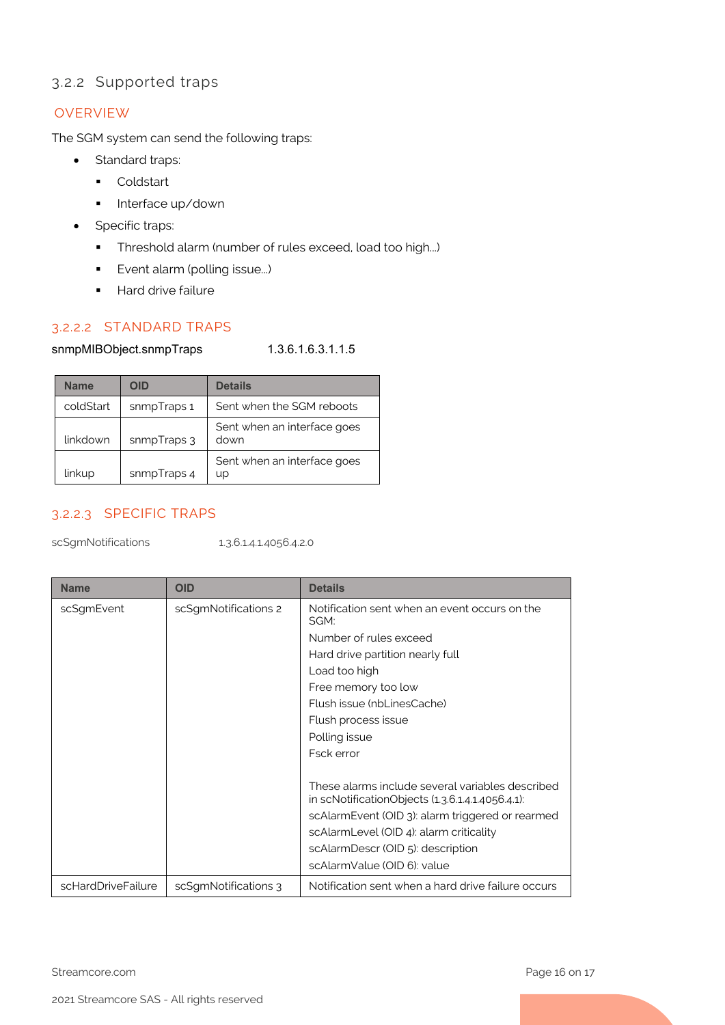# <span id="page-15-0"></span>3.2.2 Supported traps

### **OVERVIEW**

The SGM system can send the following traps:

- Standard traps:
	- **Coldstart**
	- **Interface up/down**
- Specific traps:
	- Threshold alarm (number of rules exceed, load too high...)
	- **Exent alarm (polling issue...)**
	- **Hard drive failure**

# 3.2.2.2 STANDARD TRAPS

#### snmpMIBObject.snmpTraps 1.3.6.1.6.3.1.1.5

| <b>Name</b> | <b>OID</b>  | <b>Details</b>                      |
|-------------|-------------|-------------------------------------|
| coldStart   | snmpTraps 1 | Sent when the SGM reboots           |
| linkdown    | snmpTraps 3 | Sent when an interface goes<br>down |
| linkup      | snmpTraps 4 | Sent when an interface goes<br>up   |

# 3.2.2.3 SPECIFIC TRAPS

scSgmNotifications 1.3.6.1.4.1.4056.4.2.0

| <b>Name</b>        | <b>OID</b>           | <b>Details</b>                                                                                       |
|--------------------|----------------------|------------------------------------------------------------------------------------------------------|
| scSgmEvent         | scSgmNotifications 2 | Notification sent when an event occurs on the<br>SGM:                                                |
|                    |                      | Number of rules exceed                                                                               |
|                    |                      | Hard drive partition nearly full                                                                     |
|                    |                      | Load too high                                                                                        |
|                    |                      | Free memory too low                                                                                  |
|                    |                      | Flush issue (nbLinesCache)                                                                           |
|                    |                      | Flush process issue                                                                                  |
|                    |                      | Polling issue                                                                                        |
|                    |                      | Fsck error                                                                                           |
|                    |                      | These alarms include several variables described<br>in scNotificationObjects (1.3.6.1.4.1.4056.4.1): |
|                    |                      | scAlarmEvent (OID 3): alarm triggered or rearmed                                                     |
|                    |                      | scAlarmLevel (OID 4): alarm criticality                                                              |
|                    |                      | scAlarmDescr (OID 5): description                                                                    |
|                    |                      | scAlarmValue (OID 6): value                                                                          |
| scHardDriveFailure | scSgmNotifications 3 | Notification sent when a hard drive failure occurs                                                   |